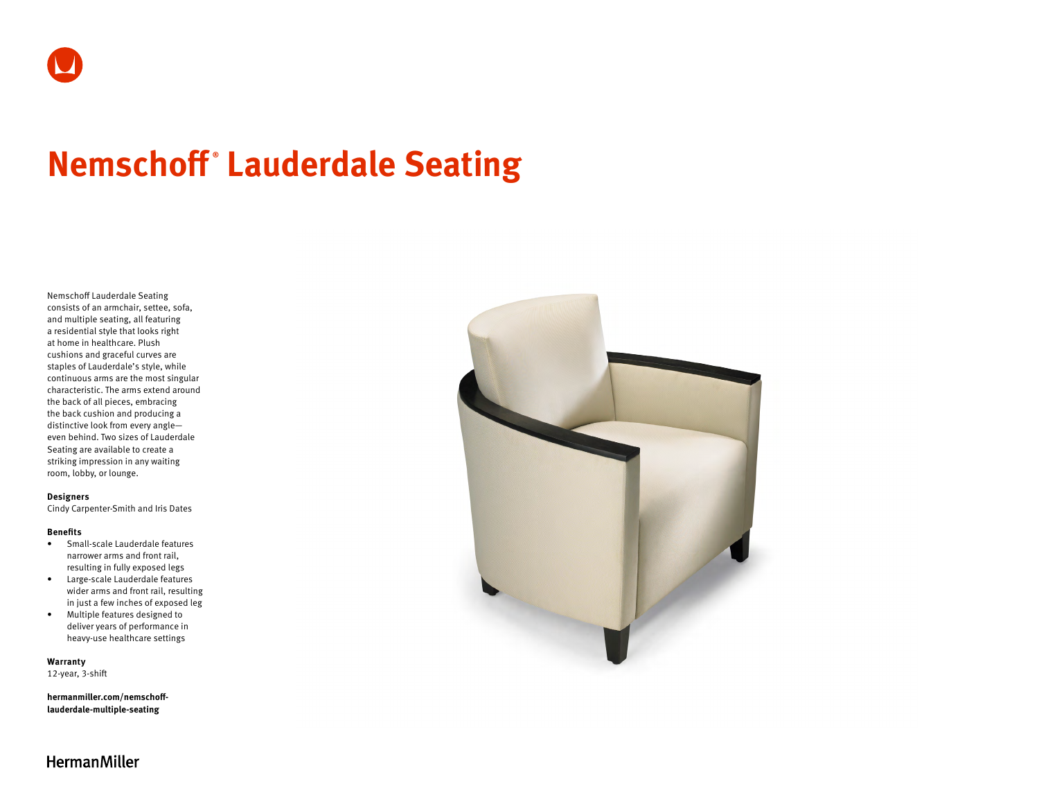# **Nemschoff ® Lauderdale Seating**

Nemschoff Lauderdale Seating consists of an armchair, settee, sofa, and multiple seating, all featuring a residential style that looks right at home in healthcare. Plush cushions and graceful curves are staples of Lauderdale's style, while continuous arms are the most singular characteristic. The arms extend around the back of all pieces, embracing the back cushion and producing a distinctive look from every angle even behind. Two sizes of Lauderdale Seating are available to create a striking impression in any waiting room, lobby, or lounge.

#### **Designers**

Cindy Carpenter-Smith and Iris Dates

#### **Benefits**

- Small-scale Lauderdale features narrower arms and front rail, resulting in fully exposed legs
- Large-scale Lauderdale features wider arms and front rail, resulting in just a few inches of exposed leg
- Multiple features designed to deliver years of performance in heavy-use healthcare settings

**Warranty** 

12-year, 3-shift

**[hermanmiller.com/nemschoff](http://hermanmiller.com/nemschoff-lauderdale-multiple-seating)[lauderdale-multiple-seating](http://hermanmiller.com/nemschoff-lauderdale-multiple-seating)**